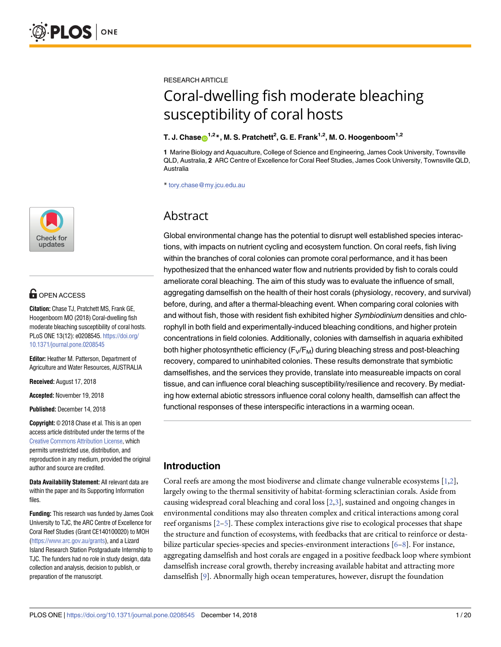

# **G** OPEN ACCESS

**Citation:** Chase TJ, Pratchett MS, Frank GE, Hoogenboom MO (2018) Coral-dwelling fish moderate bleaching susceptibility of coral hosts. PLoS ONE 13(12): e0208545. [https://doi.org/](https://doi.org/10.1371/journal.pone.0208545) [10.1371/journal.pone.0208545](https://doi.org/10.1371/journal.pone.0208545)

**Editor:** Heather M. Patterson, Department of Agriculture and Water Resources, AUSTRALIA

**Received:** August 17, 2018

**Accepted:** November 19, 2018

**Published:** December 14, 2018

**Copyright:** © 2018 Chase et al. This is an open access article distributed under the terms of the Creative Commons [Attribution](http://creativecommons.org/licenses/by/4.0/) License, which permits unrestricted use, distribution, and reproduction in any medium, provided the original author and source are credited.

**Data Availability Statement:** All relevant data are within the paper and its Supporting Information files.

**Funding:** This research was funded by James Cook University to TJC, the ARC Centre of Excellence for Coral Reef Studies (Grant CE140100020) to MOH [\(https://www.arc.gov.au/grants](https://www.arc.gov.au/grants)), and a Lizard Island Research Station Postgraduate Internship to TJC. The funders had no role in study design, data collection and analysis, decision to publish, or preparation of the manuscript.

<span id="page-0-0"></span>RESEARCH ARTICLE

# Coral-dwelling fish moderate bleaching susceptibility of coral hosts

#### $\mathbf{T}$ . J. Chase $\mathbf{\Theta}^{1,2}$ \*, M. S. Pratchett<sup>2</sup>, G. E. Frank<sup>1,2</sup>, M. O. Hoogenboom<sup>1,2</sup>

**1** Marine Biology and Aquaculture, College of Science and Engineering, James Cook University, Townsville QLD, Australia, **2** ARC Centre of Excellence for Coral Reef Studies, James Cook University, Townsville QLD, Australia

\* tory.chase@my.jcu.edu.au

# Abstract

Global environmental change has the potential to disrupt well established species interactions, with impacts on nutrient cycling and ecosystem function. On coral reefs, fish living within the branches of coral colonies can promote coral performance, and it has been hypothesized that the enhanced water flow and nutrients provided by fish to corals could ameliorate coral bleaching. The aim of this study was to evaluate the influence of small, aggregating damselfish on the health of their host corals (physiology, recovery, and survival) before, during, and after a thermal-bleaching event. When comparing coral colonies with and without fish, those with resident fish exhibited higher Symbiodinium densities and chlorophyll in both field and experimentally-induced bleaching conditions, and higher protein concentrations in field colonies. Additionally, colonies with damselfish in aquaria exhibited both higher photosynthetic efficiency  $(F_V/F_M)$  during bleaching stress and post-bleaching recovery, compared to uninhabited colonies. These results demonstrate that symbiotic damselfishes, and the services they provide, translate into measureable impacts on coral tissue, and can influence coral bleaching susceptibility/resilience and recovery. By mediating how external abiotic stressors influence coral colony health, damselfish can affect the functional responses of these interspecific interactions in a warming ocean.

# **Introduction**

Coral reefs are among the most biodiverse and climate change vulnerable ecosystems [[1,2\]](#page-16-0), largely owing to the thermal sensitivity of habitat-forming scleractinian corals. Aside from causing widespread coral bleaching and coral loss [\[2,3](#page-16-0)], sustained and ongoing changes in environmental conditions may also threaten complex and critical interactions among coral reef organisms  $[2-5]$ . These complex interactions give rise to ecological processes that shape the structure and function of ecosystems, with feedbacks that are critical to reinforce or destabilize particular species-species and species-environment interactions [[6–8](#page-17-0)]. For instance, aggregating damselfish and host corals are engaged in a positive feedback loop where symbiont damselfish increase coral growth, thereby increasing available habitat and attracting more damselfish [\[9\]](#page-17-0). Abnormally high ocean temperatures, however, disrupt the foundation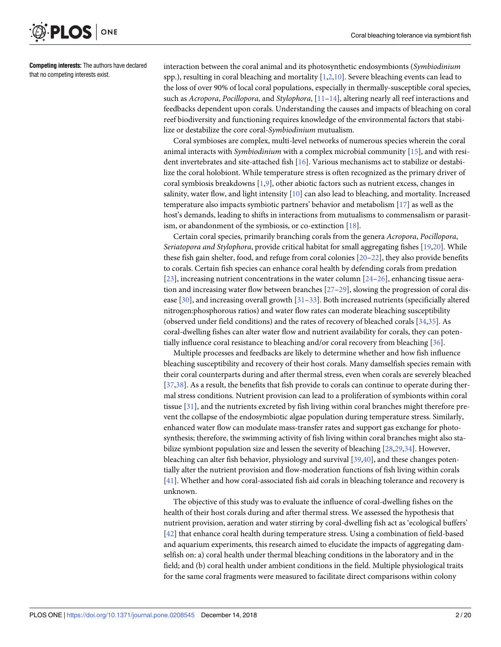<span id="page-1-0"></span>

**Competing interests:** The authors have declared that no competing interests exist.

interaction between the coral animal and its photosynthetic endosymbionts (*Symbiodinium* spp.), resulting in coral bleaching and mortality [\[1,2](#page-16-0)[,10\]](#page-17-0). Severe bleaching events can lead to the loss of over 90% of local coral populations, especially in thermally-susceptible coral species, such as *Acropora*, *Pocillopora*, and *Stylophora*, [[11–14\]](#page-17-0), altering nearly all reef interactions and feedbacks dependent upon corals. Understanding the causes and impacts of bleaching on coral reef biodiversity and functioning requires knowledge of the environmental factors that stabilize or destabilize the core coral-*Symbiodinium* mutualism.

Coral symbioses are complex, multi-level networks of numerous species wherein the coral animal interacts with *Symbiodinium* with a complex microbial community [[15](#page-17-0)], and with resident invertebrates and site-attached fish [\[16\]](#page-17-0). Various mechanisms act to stabilize or destabilize the coral holobiont. While temperature stress is often recognized as the primary driver of coral symbiosis breakdowns [\[1](#page-16-0),[9](#page-17-0)], other abiotic factors such as nutrient excess, changes in salinity, water flow, and light intensity [\[10\]](#page-17-0) can also lead to bleaching, and mortality. Increased temperature also impacts symbiotic partners' behavior and metabolism [\[17\]](#page-17-0) as well as the host's demands, leading to shifts in interactions from mutualisms to commensalism or parasitism, or abandonment of the symbiosis, or co-extinction [\[18\]](#page-17-0).

Certain coral species, primarily branching corals from the genera *Acropora*, *Pocillopora*, *Seriatopora and Stylophora*, provide critical habitat for small aggregating fishes [\[19,20\]](#page-17-0). While these fish gain shelter, food, and refuge from coral colonies [\[20–22](#page-17-0)], they also provide benefits to corals. Certain fish species can enhance coral health by defending corals from predation [\[23\]](#page-17-0), increasing nutrient concentrations in the water column [[24–26\]](#page-17-0), enhancing tissue aeration and increasing water flow between branches [[27–29\]](#page-17-0), slowing the progression of coral disease [\[30\]](#page-17-0), and increasing overall growth [\[31–](#page-17-0)[33](#page-18-0)]. Both increased nutrients (specificially altered nitrogen:phosphorous ratios) and water flow rates can moderate bleaching susceptibility (observed under field conditions) and the rates of recovery of bleached corals [[34,35\]](#page-18-0). As coral-dwelling fishes can alter water flow and nutrient availability for corals, they can potentially influence coral resistance to bleaching and/or coral recovery from bleaching [\[36\]](#page-18-0).

Multiple processes and feedbacks are likely to determine whether and how fish influence bleaching susceptibility and recovery of their host corals. Many damselfish species remain with their coral counterparts during and after thermal stress, even when corals are severely bleached [\[37,38\]](#page-18-0). As a result, the benefits that fish provide to corals can continue to operate during thermal stress conditions. Nutrient provision can lead to a proliferation of symbionts within coral tissue [[31](#page-17-0)], and the nutrients excreted by fish living within coral branches might therefore prevent the collapse of the endosymbiotic algae population during temperature stress. Similarly, enhanced water flow can modulate mass-transfer rates and support gas exchange for photosynthesis; therefore, the swimming activity of fish living within coral branches might also stabilize symbiont population size and lessen the severity of bleaching [[28](#page-17-0),[29](#page-17-0)[,34\]](#page-18-0). However, bleaching can alter fish behavior, physiology and survival [\[39,40](#page-18-0)], and these changes potentially alter the nutrient provision and flow-moderation functions of fish living within corals [\[41\]](#page-18-0). Whether and how coral-associated fish aid corals in bleaching tolerance and recovery is unknown.

The objective of this study was to evaluate the influence of coral-dwelling fishes on the health of their host corals during and after thermal stress. We assessed the hypothesis that nutrient provision, aeration and water stirring by coral-dwelling fish act as 'ecological buffers' [\[42\]](#page-18-0) that enhance coral health during temperature stress. Using a combination of field-based and aquarium experiments, this research aimed to elucidate the impacts of aggregating damselfish on: a) coral health under thermal bleaching conditions in the laboratory and in the field; and (b) coral health under ambient conditions in the field. Multiple physiological traits for the same coral fragments were measured to facilitate direct comparisons within colony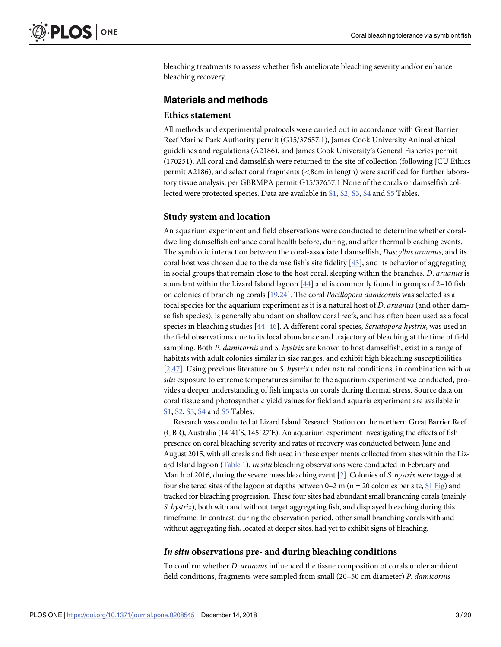<span id="page-2-0"></span>bleaching treatments to assess whether fish ameliorate bleaching severity and/or enhance bleaching recovery.

### **Materials and methods**

#### **Ethics statement**

All methods and experimental protocols were carried out in accordance with Great Barrier Reef Marine Park Authority permit (G15/37657.1), James Cook University Animal ethical guidelines and regulations (A2186), and James Cook University's General Fisheries permit (170251). All coral and damselfish were returned to the site of collection (following JCU Ethics permit A2186), and select coral fragments (*<*8cm in length) were sacrificed for further laboratory tissue analysis, per GBRMPA permit G15/37657.1 None of the corals or damselfish collected were protected species. Data are available in [S1](#page-14-0), [S2](#page-14-0), [S3](#page-14-0), [S4](#page-15-0) and [S5](#page-15-0) Tables.

#### **Study system and location**

An aquarium experiment and field observations were conducted to determine whether coraldwelling damselfish enhance coral health before, during, and after thermal bleaching events. The symbiotic interaction between the coral-associated damselfish, *Dascyllus aruanus*, and its coral host was chosen due to the damselfish's site fidelity [[43](#page-18-0)], and its behavior of aggregating in social groups that remain close to the host coral, sleeping within the branches. *D*. *aruanus* is abundant within the Lizard Island lagoon [\[44\]](#page-18-0) and is commonly found in groups of 2–10 fish on colonies of branching corals [\[19,24](#page-17-0)]. The coral *Pocillopora damicornis* was selected as a focal species for the aquarium experiment as it is a natural host of *D*. *aruanus* (and other damselfish species), is generally abundant on shallow coral reefs, and has often been used as a focal species in bleaching studies [\[44–46](#page-18-0)]. A different coral species, *Seriatopora hystrix*, was used in the field observations due to its local abundance and trajectory of bleaching at the time of field sampling. Both *P*. *damicornis* and *S*. *hystrix* are known to host damselfish, exist in a range of habitats with adult colonies similar in size ranges, and exhibit high bleaching susceptibilities [\[2](#page-16-0)[,47\]](#page-18-0). Using previous literature on *S*. *hystrix* under natural conditions, in combination with *in situ* exposure to extreme temperatures similar to the aquarium experiment we conducted, provides a deeper understanding of fish impacts on corals during thermal stress. Source data on coral tissue and photosynthetic yield values for field and aquaria experiment are available in [S1,](#page-14-0) [S2](#page-14-0), [S3](#page-14-0), [S4](#page-15-0) and [S5](#page-15-0) Tables.

Research was conducted at Lizard Island Research Station on the northern Great Barrier Reef (GBR), Australia (14˚41'S, 145˚27'E). An aquarium experiment investigating the effects of fish presence on coral bleaching severity and rates of recovery was conducted between June and August 2015, with all corals and fish used in these experiments collected from sites within the Lizard Island lagoon [\(Table](#page-3-0) 1). *In situ* bleaching observations were conducted in February and March of 2016, during the severe mass bleaching event [\[2\]](#page-16-0). Colonies of *S*. *hystrix* were tagged at four sheltered sites of the lagoon at depths between  $0-2$  m (n = 20 colonies per site, S1 [Fig](#page-15-0)) and tracked for bleaching progression. These four sites had abundant small branching corals (mainly *S*. *hystrix*), both with and without target aggregating fish, and displayed bleaching during this timeframe. In contrast, during the observation period, other small branching corals with and without aggregating fish, located at deeper sites, had yet to exhibit signs of bleaching.

#### *In situ* **observations pre- and during bleaching conditions**

To confirm whether *D*. *aruanus* influenced the tissue composition of corals under ambient field conditions, fragments were sampled from small (20–50 cm diameter) *P*. *damicornis*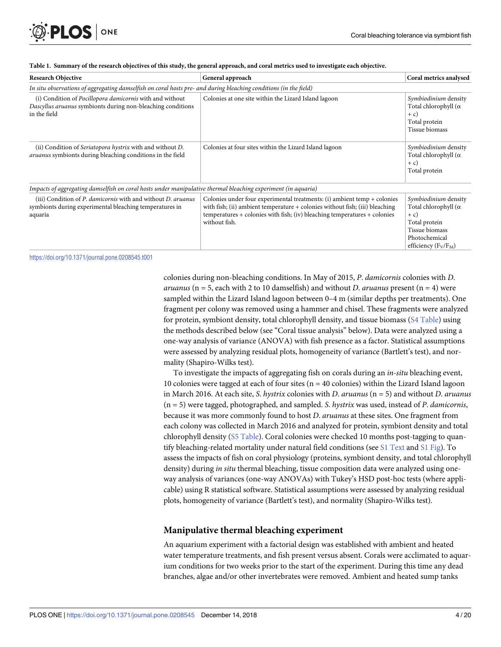<span id="page-3-0"></span>

| <b>Research Objective</b>                                                                                                               | General approach                                                                                                                                                                                                                                           | Coral metrics analysed                                                                                                                       |  |  |  |  |  |
|-----------------------------------------------------------------------------------------------------------------------------------------|------------------------------------------------------------------------------------------------------------------------------------------------------------------------------------------------------------------------------------------------------------|----------------------------------------------------------------------------------------------------------------------------------------------|--|--|--|--|--|
| In situ observations of aggregating damselfish on coral hosts pre- and during bleaching conditions (in the field)                       |                                                                                                                                                                                                                                                            |                                                                                                                                              |  |  |  |  |  |
| (i) Condition of Pocillopora damicornis with and without<br>Dascyllus aruanus symbionts during non-bleaching conditions<br>in the field | Colonies at one site within the Lizard Island lagoon                                                                                                                                                                                                       | Symbiodinium density<br>Total chlorophyll $(\alpha)$<br>$+ c)$<br>Total protein<br>Tissue biomass                                            |  |  |  |  |  |
| (ii) Condition of Seriatopora hystrix with and without D.<br>aruanus symbionts during bleaching conditions in the field                 | Colonies at four sites within the Lizard Island lagoon                                                                                                                                                                                                     | Symbiodinium density<br>Total chlorophyll $(\alpha)$<br>$+ c)$<br>Total protein                                                              |  |  |  |  |  |
| Impacts of aggregating damselfish on coral hosts under manipulative thermal bleaching experiment (in aquaria)                           |                                                                                                                                                                                                                                                            |                                                                                                                                              |  |  |  |  |  |
| (iii) Condition of P. damicornis with and without D. aruanus<br>symbionts during experimental bleaching temperatures in<br>aquaria      | Colonies under four experimental treatments: (i) ambient temp $+$ colonies<br>with fish; (ii) ambient temperature + colonies without fish; (iii) bleaching<br>$temperatures + colonies with fish; (iv) bleaching temperatures + colonies$<br>without fish. | Symbiodinium density<br>Total chlorophyll $(\alpha)$<br>$+ c)$<br>Total protein<br>Tissue biomass<br>Photochemical<br>efficiency $(F_V/F_M)$ |  |  |  |  |  |

#### [Table](#page-2-0) 1. Summary of the research objectives of this study, the general approach, and coral metrics used to investigate each objective.

<https://doi.org/10.1371/journal.pone.0208545.t001>

colonies during non-bleaching conditions. In May of 2015, *P*. *damicornis* colonies with *D*. *aruanus* ( $n = 5$ , each with 2 to 10 damselfish) and without *D. aruanus* present ( $n = 4$ ) were sampled within the Lizard Island lagoon between 0–4 m (similar depths per treatments). One fragment per colony was removed using a hammer and chisel. These fragments were analyzed for protein, symbiont density, total chlorophyll density, and tissue biomass (S4 [Table\)](#page-15-0) using the methods described below (see "Coral tissue analysis" below). Data were analyzed using a one-way analysis of variance (ANOVA) with fish presence as a factor. Statistical assumptions were assessed by analyzing residual plots, homogeneity of variance (Bartlett's test), and normality (Shapiro-Wilks test).

To investigate the impacts of aggregating fish on corals during an *in-situ* bleaching event, 10 colonies were tagged at each of four sites ( $n = 40$  colonies) within the Lizard Island lagoon in March 2016. At each site, *S*. *hystrix* colonies with *D*. *aruanus* (n = 5) and without *D*. *aruanus* (n = 5) were tagged, photographed, and sampled. *S*. *hystrix* was used, instead of *P*. *damicornis*, because it was more commonly found to host *D*. *aruanus* at these sites. One fragment from each colony was collected in March 2016 and analyzed for protein, symbiont density and total chlorophyll density (S5 [Table](#page-15-0)). Coral colonies were checked 10 months post-tagging to quantify bleaching-related mortality under natural field conditions (see S1 [Text](#page-14-0) and S1 [Fig](#page-15-0)). To assess the impacts of fish on coral physiology (proteins, symbiont density, and total chlorophyll density) during *in situ* thermal bleaching, tissue composition data were analyzed using oneway analysis of variances (one-way ANOVAs) with Tukey's HSD post-hoc tests (where applicable) using R statistical software. Statistical assumptions were assessed by analyzing residual plots, homogeneity of variance (Bartlett's test), and normality (Shapiro-Wilks test).

#### **Manipulative thermal bleaching experiment**

An aquarium experiment with a factorial design was established with ambient and heated water temperature treatments, and fish present versus absent. Corals were acclimated to aquarium conditions for two weeks prior to the start of the experiment. During this time any dead branches, algae and/or other invertebrates were removed. Ambient and heated sump tanks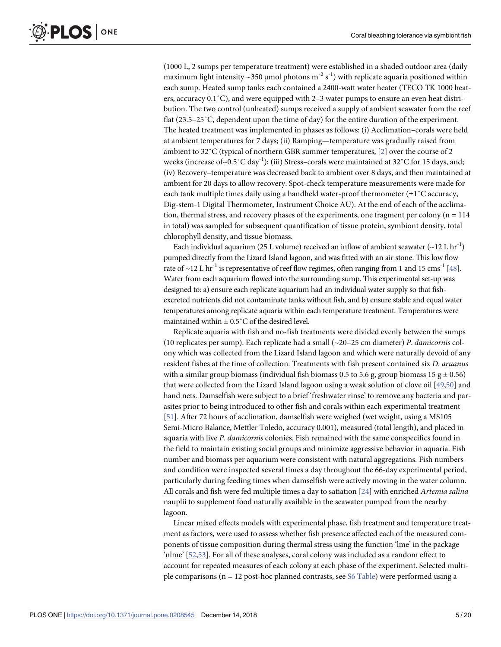<span id="page-4-0"></span>(1000 L, 2 sumps per temperature treatment) were established in a shaded outdoor area (daily maximum light intensity ~350 µmol photons m<sup>-2</sup> s<sup>-1</sup>) with replicate aquaria positioned within each sump. Heated sump tanks each contained a 2400-watt water heater (TECO TK 1000 heaters, accuracy 0.1˚C), and were equipped with 2–3 water pumps to ensure an even heat distribution. The two control (unheated) sumps received a supply of ambient seawater from the reef flat (23.5–25˚C, dependent upon the time of day) for the entire duration of the experiment. The heated treatment was implemented in phases as follows: (i) Acclimation–corals were held at ambient temperatures for 7 days; (ii) Ramping—temperature was gradually raised from ambient to 32˚C (typical of northern GBR summer temperatures, [\[2](#page-16-0)] over the course of 2 weeks (increase of~0.5°C day<sup>-1</sup>); (iii) Stress-corals were maintained at 32°C for 15 days, and; (iv) Recovery–temperature was decreased back to ambient over 8 days, and then maintained at ambient for 20 days to allow recovery. Spot-check temperature measurements were made for each tank multiple times daily using a handheld water-proof thermometer  $(\pm 1^{\circ}C \text{ accuracy},$ Dig-stem-1 Digital Thermometer, Instrument Choice AU). At the end of each of the acclimation, thermal stress, and recovery phases of the experiments, one fragment per colony ( $n = 114$ ) in total) was sampled for subsequent quantification of tissue protein, symbiont density, total chlorophyll density, and tissue biomass.

Each individual aquarium (25 L volume) received an inflow of ambient seawater ( $\sim$ 12 L hr<sup>-1</sup>) pumped directly from the Lizard Island lagoon, and was fitted with an air stone. This low flow rate of  $\sim$ 12 L hr<sup>-1</sup> is representative of reef flow regimes, often ranging from 1 and 15 cms<sup>-1</sup> [\[48](#page-18-0)]. Water from each aquarium flowed into the surrounding sump. This experimental set-up was designed to: a) ensure each replicate aquarium had an individual water supply so that fishexcreted nutrients did not contaminate tanks without fish, and b) ensure stable and equal water temperatures among replicate aquaria within each temperature treatment. Temperatures were maintained within  $\pm$  0.5 $^{\circ}$ C of the desired level.

Replicate aquaria with fish and no-fish treatments were divided evenly between the sumps (10 replicates per sump). Each replicate had a small (~20–25 cm diameter) *P*. *damicornis* colony which was collected from the Lizard Island lagoon and which were naturally devoid of any resident fishes at the time of collection. Treatments with fish present contained six *D*. *aruanus* with a similar group biomass (individual fish biomass 0.5 to 5.6 g, group biomass 15 g  $\pm$  0.56) that were collected from the Lizard Island lagoon using a weak solution of clove oil [\[49,50\]](#page-18-0) and hand nets. Damselfish were subject to a brief 'freshwater rinse' to remove any bacteria and parasites prior to being introduced to other fish and corals within each experimental treatment [\[51\]](#page-18-0). After 72 hours of acclimation, damselfish were weighed (wet weight, using a MS105 Semi-Micro Balance, Mettler Toledo, accuracy 0.001), measured (total length), and placed in aquaria with live *P*. *damicornis* colonies. Fish remained with the same conspecifics found in the field to maintain existing social groups and minimize aggressive behavior in aquaria. Fish number and biomass per aquarium were consistent with natural aggregations. Fish numbers and condition were inspected several times a day throughout the 66-day experimental period, particularly during feeding times when damselfish were actively moving in the water column. All corals and fish were fed multiple times a day to satiation [[24](#page-17-0)] with enriched *Artemia salina* nauplii to supplement food naturally available in the seawater pumped from the nearby lagoon.

Linear mixed effects models with experimental phase, fish treatment and temperature treatment as factors, were used to assess whether fish presence affected each of the measured components of tissue composition during thermal stress using the function 'lme' in the package 'nlme' [\[52,53\]](#page-18-0). For all of these analyses, coral colony was included as a random effect to account for repeated measures of each colony at each phase of the experiment. Selected multiple comparisons ( $n = 12$  post-hoc planned contrasts, see  $S6$  [Table\)](#page-15-0) were performed using a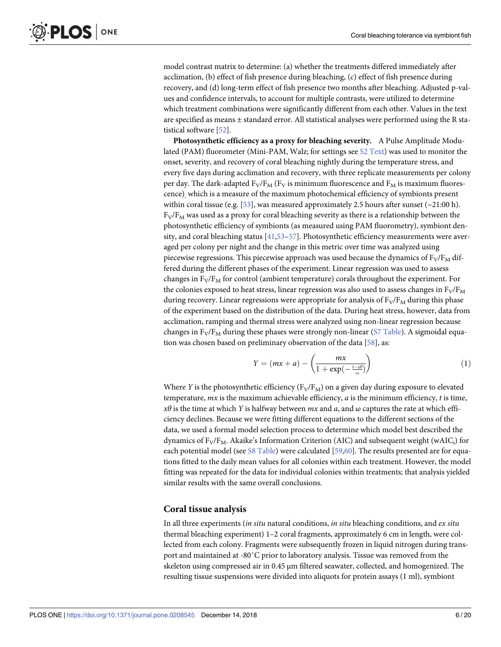<span id="page-5-0"></span>model contrast matrix to determine: (a) whether the treatments differed immediately after acclimation, (b) effect of fish presence during bleaching, (c) effect of fish presence during recovery, and (d) long-term effect of fish presence two months after bleaching. Adjusted p-values and confidence intervals, to account for multiple contrasts, were utilized to determine which treatment combinations were significantly different from each other. Values in the text are specified as means  $\pm$  standard error. All statistical analyses were performed using the R statistical software [\[52\]](#page-18-0).

**Photosynthetic efficiency as a proxy for bleaching severity.** A Pulse Amplitude Modu-lated (PAM) fluorometer (Mini-PAM, Walz; for settings see S2 [Text\)](#page-14-0) was used to monitor the onset, severity, and recovery of coral bleaching nightly during the temperature stress, and every five days during acclimation and recovery, with three replicate measurements per colony per day. The dark-adapted  $F_V/F_M$  ( $F_V$  is minimum fluorescence and  $F_M$  is maximum fluorescence), which is a measure of the maximum photochemical efficiency of symbionts present within coral tissue (e.g. [\[53\]](#page-18-0), was measured approximately 2.5 hours after sunset ( $\sim$ 21:00 h).  $F_V/F_M$  was used as a proxy for coral bleaching severity as there is a relationship between the photosynthetic efficiency of symbionts (as measured using PAM fluorometry), symbiont density, and coral bleaching status [[41,53–57\]](#page-18-0). Photosynthetic efficiency measurements were averaged per colony per night and the change in this metric over time was analyzed using piecewise regressions. This piecewise approach was used because the dynamics of  $F_V/F_M$  differed during the different phases of the experiment. Linear regression was used to assess changes in  $F_V/F_M$  for control (ambient temperature) corals throughout the experiment. For the colonies exposed to heat stress, linear regression was also used to assess changes in  $F_V/F_M$ during recovery. Linear regressions were appropriate for analysis of  $F_V/F_M$  during this phase of the experiment based on the distribution of the data. During heat stress, however, data from acclimation, ramping and thermal stress were analyzed using non-linear regression because changes in  $F_V/F_M$  during these phases were strongly non-linear (S7 [Table\)](#page-15-0). A sigmoidal equation was chosen based on preliminary observation of the data [[58](#page-19-0)], as:

$$
Y = (mx + a) - \left(\frac{mx}{1 + \exp(-\frac{t - x\theta}{\omega})}\right)
$$
 (1)

Where *Y* is the photosynthetic efficiency ( $F_V/F_M$ ) on a given day during exposure to elevated temperature, *mx* is the maximum achievable efficiency, *a* is the minimum efficiency, *t* is time, *xθ* is the time at which *Y* is halfway between *mx* and *a*, and ω captures the rate at which efficiency declines. Because we were fitting different equations to the different sections of the data, we used a formal model selection process to determine which model best described the dynamics of  $F_V/F_M$ . Akaike's Information Criterion (AIC) and subsequent weight (wAIC<sub>i</sub>) for each potential model (see S8 [Table\)](#page-15-0) were calculated [\[59,60](#page-19-0)]. The results presented are for equations fitted to the daily mean values for all colonies within each treatment. However, the model fitting was repeated for the data for individual colonies within treatments; that analysis yielded similar results with the same overall conclusions.

#### **Coral tissue analysis**

In all three experiments (*in situ* natural conditions, *in situ* bleaching conditions, and *ex situ* thermal bleaching experiment) 1–2 coral fragments, approximately 6 cm in length, were collected from each colony. Fragments were subsequently frozen in liquid nitrogen during transport and maintained at -80˚C prior to laboratory analysis. Tissue was removed from the skeleton using compressed air in 0.45 μm filtered seawater, collected, and homogenized. The resulting tissue suspensions were divided into aliquots for protein assays (1 ml), symbiont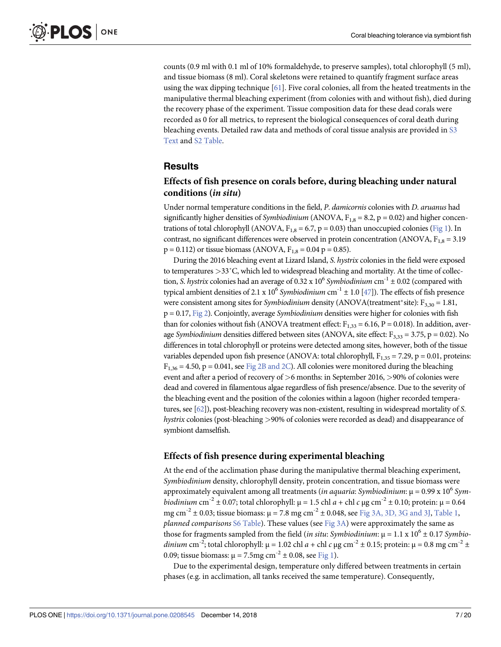<span id="page-6-0"></span>counts (0.9 ml with 0.1 ml of 10% formaldehyde, to preserve samples), total chlorophyll (5 ml), and tissue biomass (8 ml). Coral skeletons were retained to quantify fragment surface areas using the wax dipping technique  $[61]$ . Five coral colonies, all from the heated treatments in the manipulative thermal bleaching experiment (from colonies with and without fish), died during the recovery phase of the experiment. Tissue composition data for these dead corals were recorded as 0 for all metrics, to represent the biological consequences of coral death during bleaching events. Detailed raw data and methods of coral tissue analysis are provided in [S3](#page-14-0) [Text](#page-14-0) and S2 [Table](#page-14-0).

#### **Results**

#### **Effects of fish presence on corals before, during bleaching under natural conditions (***in situ***)**

Under normal temperature conditions in the field, *P*. *damicornis* colonies with *D*. *aruanus* had significantly higher densities of *Symbiodinium* (ANOVA,  $F_{1,8} = 8.2$ ,  $p = 0.02$ ) and higher concentrations of total chlorophyll (ANOVA,  $F_{1,8} = 6.7$ ,  $p = 0.03$ ) than unoccupied colonies [\(Fig](#page-7-0) 1). In contrast, no significant differences were observed in protein concentration (ANOVA,  $F_{1,8} = 3.19$ )  $p = 0.112$ ) or tissue biomass (ANOVA,  $F_{1,8} = 0.04$  p = 0.85).

During the 2016 bleaching event at Lizard Island, *S*. *hystrix* colonies in the field were exposed to temperatures *>*33˚C, which led to widespread bleaching and mortality. At the time of collection, *S. hystrix* colonies had an average of 0.32 x  $10^6$  *Symbiodinium* cm<sup>-1</sup> ± 0.02 (compared with typical ambient densities of 2.1 x  $10^6$  *Symbiodinium* cm<sup>-1</sup>  $\pm$  1.0 [[47\]](#page-18-0)). The effects of fish presence were consistent among sites for *Symbiodinium* density (ANOVA(treatment\*site): F<sub>3,30</sub> = 1.81, p = 0.17, [Fig](#page-8-0) 2). Conjointly, average *Symbiodinium* densities were higher for colonies with fish than for colonies without fish (ANOVA treatment effect:  $F_{1,33} = 6.16$ , P = 0.018). In addition, average *Symbiodinium* densities differed between sites (ANOVA, site effect: F<sub>3,33</sub> = 3.75, p = 0.02). No differences in total chlorophyll or proteins were detected among sites, however, both of the tissue variables depended upon fish presence (ANOVA: total chlorophyll,  $F_{1,35} = 7.29$ , p = 0.01, proteins:  $F_{1,36} = 4.50$ , p = 0.041, see Fig 2B [and](#page-8-0) 2C). All colonies were monitored during the bleaching event and after a period of recovery of *>*6 months: in September 2016, *>*90% of colonies were dead and covered in filamentous algae regardless of fish presence/absence. Due to the severity of the bleaching event and the position of the colonies within a lagoon (higher recorded temperatures, see [\[62\]](#page-19-0)), post-bleaching recovery was non-existent, resulting in widespread mortality of *S*. *hystrix* colonies (post-bleaching *>*90% of colonies were recorded as dead) and disappearance of symbiont damselfish.

#### **Effects of fish presence during experimental bleaching**

At the end of the acclimation phase during the manipulative thermal bleaching experiment, *Symbiodinium* density, chlorophyll density, protein concentration, and tissue biomass were approximately equivalent among all treatments (*in aquaria*: *Symbiodinium*: μ = 0.99 x 106 *Symbiodinium* cm<sup>-2</sup> ± 0.07; total chlorophyll:  $\mu$  = 1.5 chl *a* + chl *c*  $\mu$ g cm<sup>-2</sup> ± 0.10; protein:  $\mu$  = 0.64 mg cm<sup>-2</sup>  $\pm$  0.03; tissue biomass:  $\mu$  = 7.8 mg cm<sup>-2</sup>  $\pm$  0.048, see Fig 3A, 3D, 3G [and](#page-10-0) 3J, [Table](#page-3-0) 1, *planned comparisons* S6 [Table\)](#page-15-0). These values (see [Fig](#page-10-0) 3A) were approximately the same as those for fragments sampled from the field (*in situ: Symbiodinium*:  $\mu = 1.1 \times 10^6 \pm 0.17$  *Symbiodinium* cm<sup>-2</sup>; total chlorophyll:  $\mu = 1.02$  chl  $a +$ chl  $c \mu g$  cm<sup>-2</sup>  $\pm$  0.15; protein:  $\mu = 0.8$  mg cm<sup>-2</sup>  $\pm$ 0.09; tissue biomass:  $\mu = 7.5$ mg cm<sup>-2</sup> ± 0.08, see [Fig](#page-7-0) 1).

Due to the experimental design, temperature only differed between treatments in certain phases (e.g. in acclimation, all tanks received the same temperature). Consequently,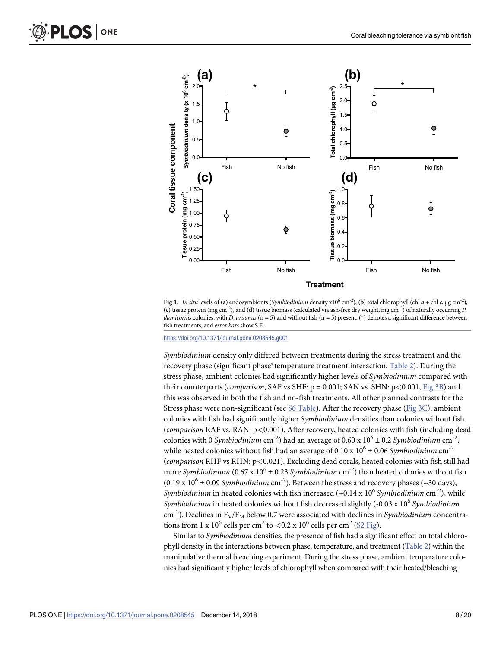<span id="page-7-0"></span>

[Fig](#page-6-0) 1. *In situ* levels of (a) endosymbionts (*Symbiodinium* density x10<sup>6</sup> cm<sup>-2</sup>), (b) total chlorophyll (chl *a* + chl *c*, μg cm<sup>-2</sup>), **(c)** tissue protein (mg cm-2), and **(d)** tissue biomass (calculated via ash-free dry weight, mg cm-2) of naturally occurring *P*. damicornis colonies, with *D. aruanus* (n = 5) and without fish (n = 5) present. (\*) denotes a significant difference between fish treatments, and *error bars* show S.E.

<https://doi.org/10.1371/journal.pone.0208545.g001>

*Symbiodinium* density only differed between treatments during the stress treatment and the recovery phase (significant phase�temperature treatment interaction, [Table](#page-11-0) 2). During the stress phase, ambient colonies had significantly higher levels of *Symbiodinium* compared with their counterparts (*comparison*, SAF vs SHF: p = 0.001; SAN vs. SHN: p*<*0.001, [Fig](#page-10-0) 3B) and this was observed in both the fish and no-fish treatments. All other planned contrasts for the Stress phase were non-significant (see S6 [Table](#page-15-0)). After the recovery phase [\(Fig](#page-10-0) 3C), ambient colonies with fish had significantly higher *Symbiodinium* densities than colonies without fish (*comparison* RAF vs. RAN: p*<*0.001). After recovery, heated colonies with fish (including dead colonies with 0 *Symbiodinium* cm<sup>-2</sup>) had an average of 0.60 x 10<sup>6</sup>  $\pm$  0.2 *Symbiodinium* cm<sup>-2</sup>, while heated colonies without fish had an average of  $0.10 \times 10^6 \pm 0.06$  *Symbiodinium* cm<sup>-2</sup> (*comparison* RHF vs RHN: p*<*0.021). Excluding dead corals, heated colonies with fish still had more *Symbiodinium* (0.67 x  $10^6 \pm 0.23$  *Symbiodinium* cm<sup>-2</sup>) than heated colonies without fish  $(0.19 \times 10^6 \pm 0.09 \text{ Symbi}$ *odinium* cm<sup>-2</sup>). Between the stress and recovery phases (~30 days), *Symbiodinium* in heated colonies with fish increased (+0.14 x 10<sup>6</sup> *Symbiodinium* cm<sup>-2</sup>), while *Symbiodinium* in heated colonies without fish decreased slightly (-0.03 x 10<sup>6</sup> *Symbiodinium*  $\text{cm}^{-2}$ ). Declines in F<sub>V</sub>/F<sub>M</sub> below 0.7 were associated with declines in *Symbiodinium* concentrations from 1 x  $10^6$  cells per cm<sup>2</sup> to  $< 0.2$  x  $10^6$  cells per cm<sup>2</sup> (S<sub>2</sub> [Fig](#page-15-0)).

Similar to *Symbiodinium* densities, the presence of fish had a significant effect on total chlorophyll density in the interactions between phase, temperature, and treatment [\(Table](#page-11-0) 2) within the manipulative thermal bleaching experiment. During the stress phase, ambient temperature colonies had significantly higher levels of chlorophyll when compared with their heated/bleaching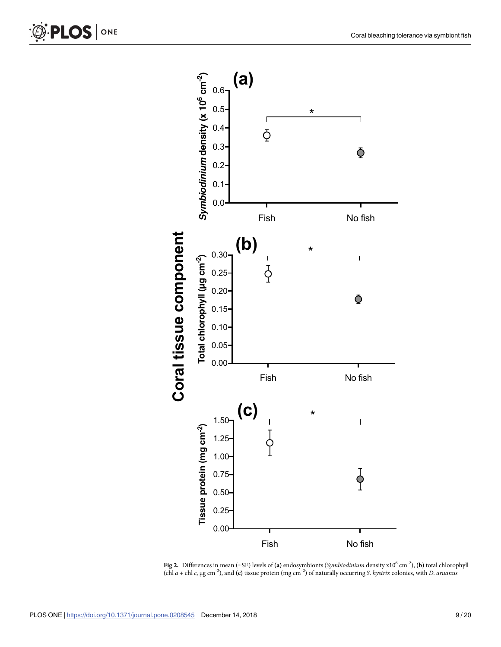

**[Fig](#page-6-0) 2.** Differences in mean (±SE) levels of **(a)** endosymbionts (*Symbiodinium* density x106 cm-2), **(b)** total chlorophyll (chl *a* + chl *c*, μg cm*-*<sup>2</sup> ), and **(c)** tissue protein (mg cm-2) of naturally occurring *S*. *hystrix* colonies, with *D*. *aruanus*

ONE

<span id="page-8-0"></span>**PLOS**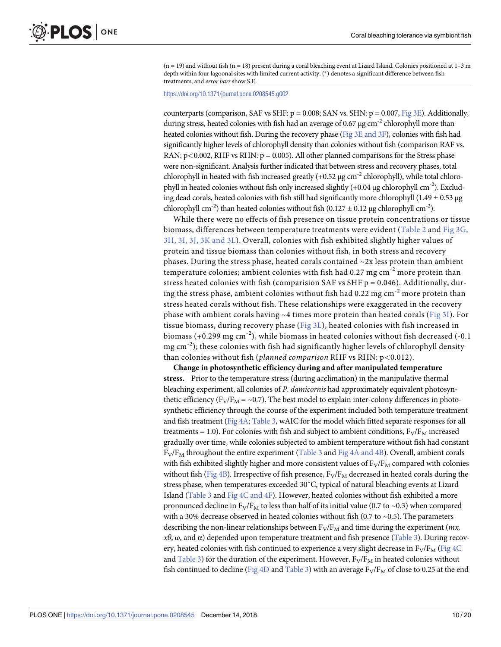<span id="page-9-0"></span> $(n = 19)$  and without fish  $(n = 18)$  present during a coral bleaching event at Lizard Island. Colonies positioned at  $1-3$  m depth within four lagoonal sites with limited current activity. ( �) denotes a significant difference between fish treatments, and *error bars* show S.E.

#### <https://doi.org/10.1371/journal.pone.0208545.g002>

counterparts (comparison, SAF vs SHF:  $p = 0.008$ ; SAN vs. SHN:  $p = 0.007$ , [Fig](#page-10-0) 3E). Additionally, during stress, heated colonies with fish had an average of 0.67  $\mu$ g cm<sup>-2</sup> chlorophyll more than heated colonies without fish. During the recovery phase (Fig 3E [and](#page-10-0) 3F), colonies with fish had significantly higher levels of chlorophyll density than colonies without fish (comparison RAF vs. RAN: p<0.002, RHF vs RHN: p = 0.005). All other planned comparisons for the Stress phase were non-significant. Analysis further indicated that between stress and recovery phases, total chlorophyll in heated with fish increased greatly  $(+0.52 \mu g \text{ cm}^{-2}$  chlorophyll), while total chlorophyll in heated colonies without fish only increased slightly  $(+0.04 \mu g$  chlorophyll cm<sup>-2</sup>). Excluding dead corals, heated colonies with fish still had significantly more chlorophyll  $(1.49 \pm 0.53 \,\mu g)$ chlorophyll cm<sup>-2</sup>) than heated colonies without fish (0.127  $\pm$  0.12 μg chlorophyll cm<sup>-2</sup>).

While there were no effects of fish presence on tissue protein concentrations or tissue biomass, differences between temperature treatments were evident ([Table](#page-11-0) 2 and Fig [3G,](#page-10-0) 3H, 3I, 3J, 3K [and](#page-10-0) 3L). Overall, colonies with fish exhibited slightly higher values of protein and tissue biomass than colonies without fish, in both stress and recovery phases. During the stress phase, heated corals contained ~2x less protein than ambient temperature colonies; ambient colonies with fish had  $0.27$  mg cm<sup>-2</sup> more protein than stress heated colonies with fish (comparision SAF vs SHF  $p = 0.046$ ). Additionally, during the stress phase, ambient colonies without fish had 0.22 mg cm-2 more protein than stress heated corals without fish. These relationships were exaggerated in the recovery phase with ambient corals having  $\sim$  4 times more protein than heated corals ([Fig](#page-10-0) 3I). For tissue biomass, during recovery phase ([Fig](#page-10-0) 3L), heated colonies with fish increased in biomass (+0.299 mg cm<sup>-2</sup>), while biomass in heated colonies without fish decreased (-0.1)  $mg \, \text{cm}^{-2}$ ); these colonies with fish had significantly higher levels of chlorophyll density than colonies without fish (*planned comparison* RHF vs RHN: p*<*0.012).

**Change in photosynthetic efficiency during and after manipulated temperature stress.** Prior to the temperature stress (during acclimation) in the manipulative thermal bleaching experiment, all colonies of *P*. *damicornis* had approximately equivalent photosynthetic efficiency ( $F_V/F_M = \sim 0.7$ ). The best model to explain inter-colony differences in photosynthetic efficiency through the course of the experiment included both temperature treatment and fish treatment ([Fig](#page-12-0) 4A; [Table](#page-12-0) 3, wAIC for the model which fitted separate responses for all treatments = 1.0). For colonies with fish and subject to ambient conditions,  $F_V/F_M$  increased gradually over time, while colonies subjected to ambient temperature without fish had constant  $F_V/F_M$  throughout the entire experiment [\(Table](#page-12-0) 3 [and](#page-12-0) Fig 4A and 4B). Overall, ambient corals with fish exhibited slightly higher and more consistent values of  $F_V/F_M$  compared with colonies without fish ([Fig](#page-12-0) 4B). Irrespective of fish presence,  $F_V/F_M$  decreased in heated corals during the stress phase, when temperatures exceeded 30˚C, typical of natural bleaching events at Lizard Island ([Table](#page-12-0) 3 and Fig 4C [and](#page-12-0) 4F). However, heated colonies without fish exhibited a more pronounced decline in  $F_V/F_M$  to less than half of its initial value (0.7 to ~0.3) when compared with a 30% decrease observed in heated colonies without fish (0.7 to  $\sim$ 0.5). The parameters describing the non-linear relationships between  $F_V/F_M$  and time during the experiment (*mx*, *xθ*, ω, and α) depended upon temperature treatment and fish presence ([Table](#page-12-0) 3). During recovery, heated colonies with fish continued to experience a very slight decrease in  $F_V/F_M$  [\(Fig](#page-12-0) 4C and [Table](#page-12-0) 3) for the duration of the experiment. However,  $F_V/F_M$  in heated colonies without fish continued to decline ([Fig](#page-12-0) 4D and [Table](#page-12-0) 3) with an average  $F_V/F_M$  of close to 0.25 at the end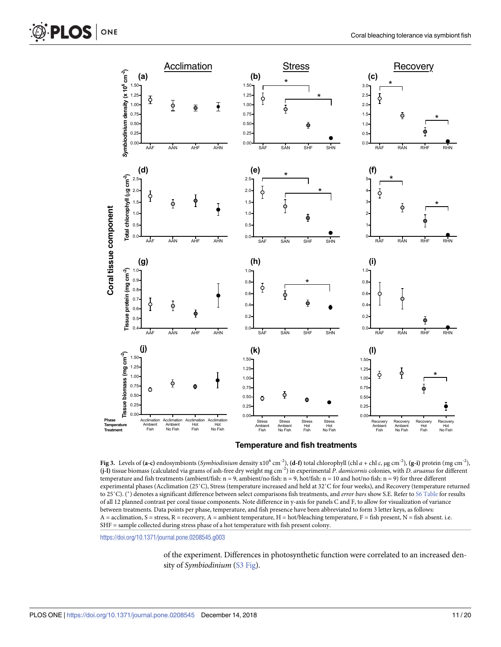

**Temperature and fish treatments**

[Fig](#page-6-0) 3. Levels of (a-c) endosymbionts (*Symbiodinium* density x10<sup>6</sup> cm<sup>-2</sup>), (d-f) total chlorophyll (chl *a* + chl *c*, μg cm<sup>-2</sup>), (g-i) protein (mg cm<sup>-2</sup>), **(j-l)** tissue biomass (calculated via grams of ash-free dry weight mg cm-2) in experimental *P*. *damicornis* colonies, with *D*. *aruanus* for different temperature and fish treatments (ambient/fish:  $n = 9$ , ambient/no fish:  $n = 9$ , hot/fish:  $n = 10$  and hot/no fish:  $n = 9$ ) for three different experimental phases (Acclimation (25˚C), Stress (temperature increased and held at 32˚C for four weeks), and Recovery (temperature returned to 25˚C). ( �) denotes a significant difference between select comparisons fish treatments, and *error bars* show S.E. Refer to S6 [Table](#page-15-0) for results of all 12 planned contrast per coral tissue components. Note difference in y-axis for panels C and F, to allow for visualization of variance between treatments. Data points per phase, temperature, and fish presence have been abbreviated to form 3 letter keys, as follows:  $A =$  acclimation,  $S =$  stress,  $R =$  recovery,  $A =$  ambient temperature,  $H =$  hot/bleaching temperature,  $F =$  fish present,  $N =$  fish absent. i.e. SHF = sample collected during stress phase of a hot temperature with fish present colony.

<https://doi.org/10.1371/journal.pone.0208545.g003>

of the experiment. Differences in photosynthetic function were correlated to an increased density of *Symbiodinium* (S3 [Fig](#page-16-0)).

<span id="page-10-0"></span>**PLOS** ONE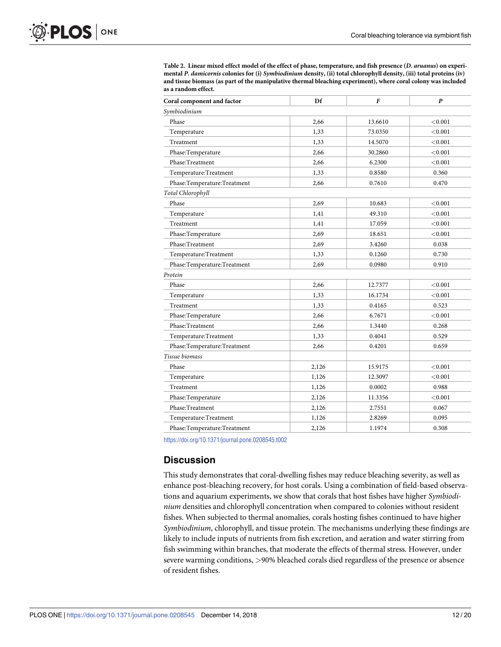<span id="page-11-0"></span>

| Table 2. Linear mixed effect model of the effect of phase, temperature, and fish presence (D. aruanus) on experi-     |
|-----------------------------------------------------------------------------------------------------------------------|
| mental P. damicornis colonies for (i) Symbiodinium density, (ii) total chlorophyll density, (iii) total proteins (iv) |
| and tissue biomass (as part of the manipulative thermal bleaching experiment), where coral colony was included        |
| as a random effect.                                                                                                   |

| Coral component and factor  | Df    | F                  | P       |  |  |  |  |
|-----------------------------|-------|--------------------|---------|--|--|--|--|
| Symbiodinium                |       |                    |         |  |  |  |  |
| Phase                       | 2,66  | 13.6610            | < 0.001 |  |  |  |  |
| Temperature                 | 1,33  | 73.0350            | < 0.001 |  |  |  |  |
| Treatment                   | 1,33  | 14.5070            | < 0.001 |  |  |  |  |
| Phase:Temperature           | 2,66  | 30.2860            | < 0.001 |  |  |  |  |
| Phase:Treatment             | 2,66  | 6.2300             | < 0.001 |  |  |  |  |
| Temperature:Treatment       | 1,33  | 0.8580             | 0.360   |  |  |  |  |
| Phase:Temperature:Treatment | 2,66  | 0.7610             | 0.470   |  |  |  |  |
| Total Chlorophyll           |       |                    |         |  |  |  |  |
| Phase                       | 2,69  | 10.683             | < 0.001 |  |  |  |  |
| Temperature                 | 1,41  | 49.310             | < 0.001 |  |  |  |  |
| Treatment                   | 1,41  | 17.059             | < 0.001 |  |  |  |  |
| Phase:Temperature           | 2,69  | 18.651             | < 0.001 |  |  |  |  |
| Phase:Treatment             | 2,69  | 3.4260             | 0.038   |  |  |  |  |
| Temperature:Treatment       | 1,33  | 0.1260             | 0.730   |  |  |  |  |
| Phase:Temperature:Treatment | 2,69  | 0.0980             | 0.910   |  |  |  |  |
| Protein                     |       |                    |         |  |  |  |  |
| Phase                       | 2,66  | 12.7377            | < 0.001 |  |  |  |  |
| Temperature                 | 1,33  | 16.1734            | < 0.001 |  |  |  |  |
| Treatment                   | 1,33  | 0.4165             | 0.523   |  |  |  |  |
| Phase:Temperature           | 2,66  | 6.7671             | < 0.001 |  |  |  |  |
| Phase:Treatment             | 2,66  | 1.3440             | 0.268   |  |  |  |  |
| Temperature:Treatment       | 1,33  | 0.4041<br>0.529    |         |  |  |  |  |
| Phase:Temperature:Treatment | 2,66  | 0.4201             | 0.659   |  |  |  |  |
| Tissue biomass              |       |                    |         |  |  |  |  |
| Phase                       | 2,126 | 15.9175            | < 0.001 |  |  |  |  |
| Temperature                 | 1,126 | 12.3097            | < 0.001 |  |  |  |  |
| Treatment                   | 1,126 | 0.0002<br>0.988    |         |  |  |  |  |
| Phase:Temperature           | 2,126 | 11.3356<br>< 0.001 |         |  |  |  |  |
| Phase:Treatment             | 2,126 | 2.7551             | 0.067   |  |  |  |  |
| Temperature:Treatment       | 1,126 | 2.8269             | 0.095   |  |  |  |  |
| Phase:Temperature:Treatment | 2,126 | 1.1974             | 0.308   |  |  |  |  |

<https://doi.org/10.1371/journal.pone.0208545.t002>

#### **Discussion**

This study demonstrates that coral-dwelling fishes may reduce bleaching severity, as well as enhance post-bleaching recovery, for host corals. Using a combination of field-based observations and aquarium experiments, we show that corals that host fishes have higher *Symbiodinium* densities and chlorophyll concentration when compared to colonies without resident fishes. When subjected to thermal anomalies, corals hosting fishes continued to have higher *Symbiodinium*, chlorophyll, and tissue protein. The mechanisms underlying these findings are likely to include inputs of nutrients from fish excretion, and aeration and water stirring from fish swimming within branches, that moderate the effects of thermal stress. However, under severe warming conditions, *>*90% bleached corals died regardless of the presence or absence of resident fishes.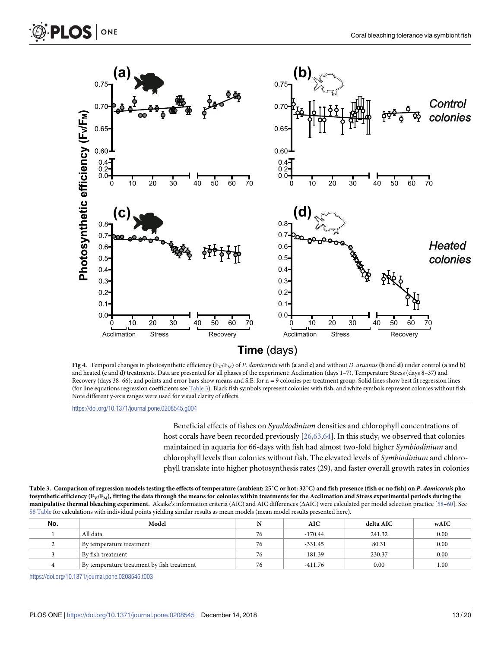<span id="page-12-0"></span>

[Fig](#page-9-0) 4. Temporal changes in photosynthetic efficiency  $(F_V/F_M)$  of P. damicornis with (a and c) and without D. aruanus (b and d) under control (a and b) and heated (c and d) treatments. Data are presented for all phases of the experiment: Acclimation (days 1-7), Temperature Stress (days 8-37) and Recovery (days 38–66); and points and error bars show means and S.E. for n = 9 colonies per treatment group. Solid lines show best fit regression lines (for line equations regression coefficients see Table 3). Black fish symbols represent colonies with fish, and white symbols represent colonies without fish. Note different y-axis ranges were used for visual clarity of effects.

<https://doi.org/10.1371/journal.pone.0208545.g004>

ONE

Beneficial effects of fishes on *Symbiodinium* densities and chlorophyll concentrations of host corals have been recorded previously [\[26](#page-17-0)[,63,64\]](#page-19-0). In this study, we observed that colonies maintained in aquaria for 66-days with fish had almost two-fold higher *Symbiodinium* and chlorophyll levels than colonies without fish. The elevated levels of *Symbiodinium* and chlorophyll translate into higher photosynthesis rates (29), and faster overall growth rates in colonies

[Table](#page-9-0) 3. Comparison of regression models testing the effects of temperature (ambient: 25°C or hot: 32°C) and fish presence (fish or no fish) on P. damicornis photosynthetic efficiency  $(F_V/F_M)$ , fitting the data through the means for colonies within treatments for the Acclimation and Stress experimental periods during the **manipulative thermal bleaching experiment.** Akaike's information criteria (AIC) and AIC differences (ΔAIC) were calculated per model selection practice [[58–60\]](#page-19-0). See S8 [Table](#page-15-0) for calculations with individual points yielding similar results as mean models (mean model results presented here).

| No. | Model                                      |    | AIC       | delta AIC | wAIC |
|-----|--------------------------------------------|----|-----------|-----------|------|
|     | All data                                   | 76 | $-170.44$ | 241.32    | 0.00 |
|     | By temperature treatment                   | 76 | $-331.45$ | 80.31     | 0.00 |
|     | ∣ By fish treatment                        | 76 | $-181.39$ | 230.37    | 0.00 |
|     | By temperature treatment by fish treatment | 76 | -411.76   | 0.00      | 1.00 |

<https://doi.org/10.1371/journal.pone.0208545.t003>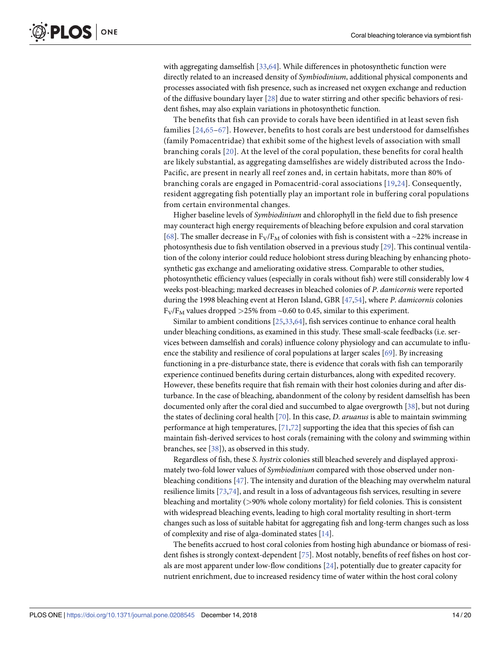<span id="page-13-0"></span>with aggregating damselfish [[33](#page-18-0)[,64\]](#page-19-0). While differences in photosynthetic function were directly related to an increased density of *Symbiodinium*, additional physical components and processes associated with fish presence, such as increased net oxygen exchange and reduction of the diffusive boundary layer [[28](#page-17-0)] due to water stirring and other specific behaviors of resident fishes, may also explain variations in photosynthetic function.

The benefits that fish can provide to corals have been identified in at least seven fish families [[24,](#page-17-0)[65](#page-19-0)–[67\]](#page-19-0). However, benefits to host corals are best understood for damselfishes (family Pomacentridae) that exhibit some of the highest levels of association with small branching corals [[20\]](#page-17-0). At the level of the coral population, these benefits for coral health are likely substantial, as aggregating damselfishes are widely distributed across the Indo-Pacific, are present in nearly all reef zones and, in certain habitats, more than 80% of branching corals are engaged in Pomacentrid-coral associations [[19,24](#page-17-0)]. Consequently, resident aggregating fish potentially play an important role in buffering coral populations from certain environmental changes.

Higher baseline levels of *Symbiodinium* and chlorophyll in the field due to fish presence may counteract high energy requirements of bleaching before expulsion and coral starvation [\[68\]](#page-19-0). The smaller decrease in  $F_V/F_M$  of colonies with fish is consistent with a ~22% increase in photosynthesis due to fish ventilation observed in a previous study [[29](#page-17-0)]. This continual ventilation of the colony interior could reduce holobiont stress during bleaching by enhancing photosynthetic gas exchange and ameliorating oxidative stress. Comparable to other studies, photosynthetic efficiency values (especially in corals without fish) were still considerably low 4 weeks post-bleaching; marked decreases in bleached colonies of *P*. *damicornis* were reported during the 1998 bleaching event at Heron Island, GBR [\[47,54](#page-18-0)], where *P*. *damicornis* colonies  $F_V/F_M$  values dropped  $>$  25% from  $\sim$  0.60 to 0.45, similar to this experiment.

Similar to ambient conditions [[25](#page-17-0)[,33,](#page-18-0)[64\]](#page-19-0), fish services continue to enhance coral health under bleaching conditions, as examined in this study. These small-scale feedbacks (i.e. services between damselfish and corals) influence colony physiology and can accumulate to influence the stability and resilience of coral populations at larger scales [\[69\]](#page-19-0). By increasing functioning in a pre-disturbance state, there is evidence that corals with fish can temporarily experience continued benefits during certain disturbances, along with expedited recovery. However, these benefits require that fish remain with their host colonies during and after disturbance. In the case of bleaching, abandonment of the colony by resident damselfish has been documented only after the coral died and succumbed to algae overgrowth [\[38\]](#page-18-0), but not during the states of declining coral health [\[70\]](#page-19-0). In this case, *D*. *aruanus* is able to maintain swimming performance at high temperatures, [[71,72\]](#page-19-0) supporting the idea that this species of fish can maintain fish-derived services to host corals (remaining with the colony and swimming within branches, see [\[38\]](#page-18-0)), as observed in this study.

Regardless of fish, these *S*. *hystrix* colonies still bleached severely and displayed approximately two-fold lower values of *Symbiodinium* compared with those observed under nonbleaching conditions [[47](#page-18-0)]. The intensity and duration of the bleaching may overwhelm natural resilience limits [[73](#page-19-0),[74](#page-19-0)], and result in a loss of advantageous fish services, resulting in severe bleaching and mortality (*>*90% whole colony mortality) for field colonies. This is consistent with widespread bleaching events, leading to high coral mortality resulting in short-term changes such as loss of suitable habitat for aggregating fish and long-term changes such as loss of complexity and rise of alga-dominated states [[14](#page-17-0)].

The benefits accrued to host coral colonies from hosting high abundance or biomass of resident fishes is strongly context-dependent [[75](#page-19-0)]. Most notably, benefits of reef fishes on host corals are most apparent under low-flow conditions [\[24\]](#page-17-0), potentially due to greater capacity for nutrient enrichment, due to increased residency time of water within the host coral colony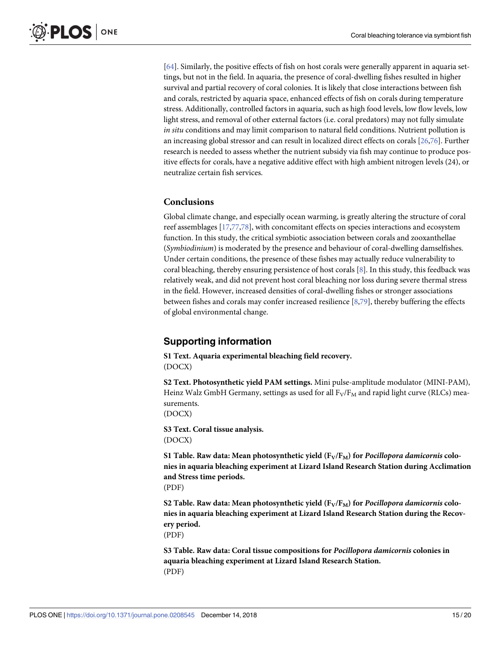<span id="page-14-0"></span>[\[64\]](#page-19-0). Similarly, the positive effects of fish on host corals were generally apparent in aquaria settings, but not in the field. In aquaria, the presence of coral-dwelling fishes resulted in higher survival and partial recovery of coral colonies. It is likely that close interactions between fish and corals, restricted by aquaria space, enhanced effects of fish on corals during temperature stress. Additionally, controlled factors in aquaria, such as high food levels, low flow levels, low light stress, and removal of other external factors (i.e. coral predators) may not fully simulate *in situ* conditions and may limit comparison to natural field conditions. Nutrient pollution is an increasing global stressor and can result in localized direct effects on corals [\[26,](#page-17-0)[76](#page-19-0)]. Further research is needed to assess whether the nutrient subsidy via fish may continue to produce positive effects for corals, have a negative additive effect with high ambient nitrogen levels (24), or neutralize certain fish services.

# **Conclusions**

Global climate change, and especially ocean warming, is greatly altering the structure of coral reef assemblages [\[17,](#page-17-0)[77](#page-19-0),[78](#page-19-0)], with concomitant effects on species interactions and ecosystem function. In this study, the critical symbiotic association between corals and zooxanthellae (*Symbiodinium*) is moderated by the presence and behaviour of coral-dwelling damselfishes. Under certain conditions, the presence of these fishes may actually reduce vulnerability to coral bleaching, thereby ensuring persistence of host corals [\[8\]](#page-17-0). In this study, this feedback was relatively weak, and did not prevent host coral bleaching nor loss during severe thermal stress in the field. However, increased densities of coral-dwelling fishes or stronger associations between fishes and corals may confer increased resilience [[8,](#page-17-0)[79](#page-19-0)], thereby buffering the effects of global environmental change.

# **Supporting information**

**S1 [Text](http://www.plosone.org/article/fetchSingleRepresentation.action?uri=info:doi/10.1371/journal.pone.0208545.s001). Aquaria experimental bleaching field recovery.** (DOCX)

**S2 [Text](http://www.plosone.org/article/fetchSingleRepresentation.action?uri=info:doi/10.1371/journal.pone.0208545.s002). Photosynthetic yield PAM settings.** Mini pulse-amplitude modulator (MINI-PAM), Heinz Walz GmbH Germany, settings as used for all  $F_V/F_M$  and rapid light curve (RLCs) measurements.

(DOCX)

**S3 [Text](http://www.plosone.org/article/fetchSingleRepresentation.action?uri=info:doi/10.1371/journal.pone.0208545.s003). Coral tissue analysis.** (DOCX)

S1 [Table.](http://www.plosone.org/article/fetchSingleRepresentation.action?uri=info:doi/10.1371/journal.pone.0208545.s004) Raw data: Mean photosynthetic yield  $(F_V/F_M)$  for *Pocillopora damicornis* colo**nies in aquaria bleaching experiment at Lizard Island Research Station during Acclimation and Stress time periods.**

(PDF)

S2 [Table.](http://www.plosone.org/article/fetchSingleRepresentation.action?uri=info:doi/10.1371/journal.pone.0208545.s005) Raw data: Mean photosynthetic yield (F<sub>V</sub>/F<sub>M</sub>) for *Pocillopora damicornis* colo**nies in aquaria bleaching experiment at Lizard Island Research Station during the Recovery period.** (PDF)

**S3 [Table.](http://www.plosone.org/article/fetchSingleRepresentation.action?uri=info:doi/10.1371/journal.pone.0208545.s006) Raw data: Coral tissue compositions for** *Pocillopora damicornis* **colonies in aquaria bleaching experiment at Lizard Island Research Station.** (PDF)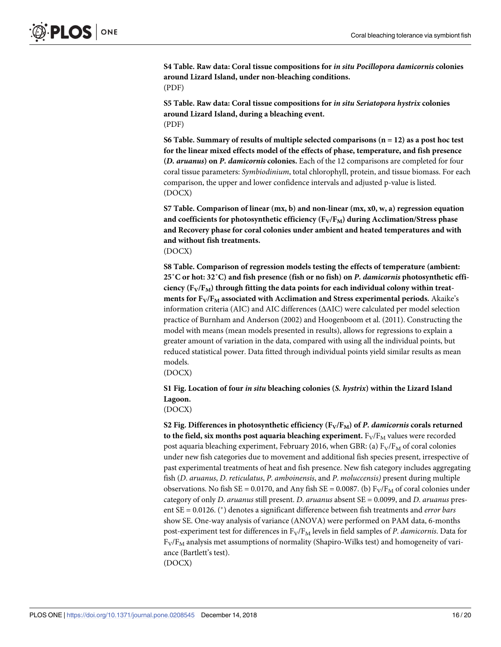<span id="page-15-0"></span>**S4 [Table.](http://www.plosone.org/article/fetchSingleRepresentation.action?uri=info:doi/10.1371/journal.pone.0208545.s007) Raw data: Coral tissue compositions for** *in situ Pocillopora damicornis* **colonies around Lizard Island, under non-bleaching conditions.** (PDF)

**S5 [Table.](http://www.plosone.org/article/fetchSingleRepresentation.action?uri=info:doi/10.1371/journal.pone.0208545.s008) Raw data: Coral tissue compositions for** *in situ Seriatopora hystrix* **colonies around Lizard Island, during a bleaching event.** (PDF)

**S6 [Table.](http://www.plosone.org/article/fetchSingleRepresentation.action?uri=info:doi/10.1371/journal.pone.0208545.s009) Summary of results of multiple selected comparisons (n = 12) as a post hoc test for the linear mixed effects model of the effects of phase, temperature, and fish presence (***D. aruanus***) on** *P. damicornis* **colonies.** Each of the 12 comparisons are completed for four coral tissue parameters: *Symbiodinium*, total chlorophyll, protein, and tissue biomass. For each comparison, the upper and lower confidence intervals and adjusted p-value is listed. (DOCX)

**S7 [Table.](http://www.plosone.org/article/fetchSingleRepresentation.action?uri=info:doi/10.1371/journal.pone.0208545.s010) Comparison of linear (mx, b) and non-linear (mx, x0, w, a) regression equation** and coefficients for photosynthetic efficiency  $(F_V/F_M)$  during Acclimation/Stress phase **and Recovery phase for coral colonies under ambient and heated temperatures and with and without fish treatments.** (DOCX)

**S8 [Table.](http://www.plosone.org/article/fetchSingleRepresentation.action?uri=info:doi/10.1371/journal.pone.0208545.s011) Comparison of regression models testing the effects of temperature (ambient: 25˚C or hot: 32˚C) and fish presence (fish or no fish) on** *P. damicornis* **photosynthetic efficiency**  $(F_V/F_M)$  **through** fitting the data points for each individual colony within treat**ments** for  $F_V/F_M$  associated with Acclimation and Stress experimental periods. Akaike's information criteria (AIC) and AIC differences (ΔAIC) were calculated per model selection practice of Burnham and Anderson (2002) and Hoogenboom et al. (2011). Constructing the model with means (mean models presented in results), allows for regressions to explain a greater amount of variation in the data, compared with using all the individual points, but reduced statistical power. Data fitted through individual points yield similar results as mean models.

(DOCX)

**S1 [Fig](http://www.plosone.org/article/fetchSingleRepresentation.action?uri=info:doi/10.1371/journal.pone.0208545.s012). Location of four** *in situ* **bleaching colonies (***S. hystrix***) within the Lizard Island Lagoon.**

(DOCX)

**S2** [Fig](http://www.plosone.org/article/fetchSingleRepresentation.action?uri=info:doi/10.1371/journal.pone.0208545.s013). Differences in photosynthetic efficiency  $(F_V/F_M)$  of *P. damicornis* corals returned **to** the field, six months post aquaria bleaching experiment.  $F_V/F_M$  values were recorded post aquaria bleaching experiment, February 2016, when GBR: (a)  $F_V/F_M$  of coral colonies under new fish categories due to movement and additional fish species present, irrespective of past experimental treatments of heat and fish presence. New fish category includes aggregating fish (*D*. *aruanus*, *D*. *reticulatus*, *P*. *amboinensis*, and *P*. *moluccensis)* present during multiple observations. No fish SE = 0.0170, and Any fish SE = 0.0087. (b)  $F_V/F_M$  of coral colonies under category of only *D*. *aruanus* still present. *D*. *aruanus* absent SE = 0.0099, and *D*. *aruanus* present SE = 0.0126. ( �) denotes a significant difference between fish treatments and *error bars* show SE. One-way analysis of variance (ANOVA) were performed on PAM data, 6-months post-experiment test for differences in F<sub>V</sub>/F<sub>M</sub> levels in field samples of *P. damicornis*. Data for  $F_V/F_M$  analysis met assumptions of normality (Shapiro-Wilks test) and homogeneity of variance (Bartlett's test). (DOCX)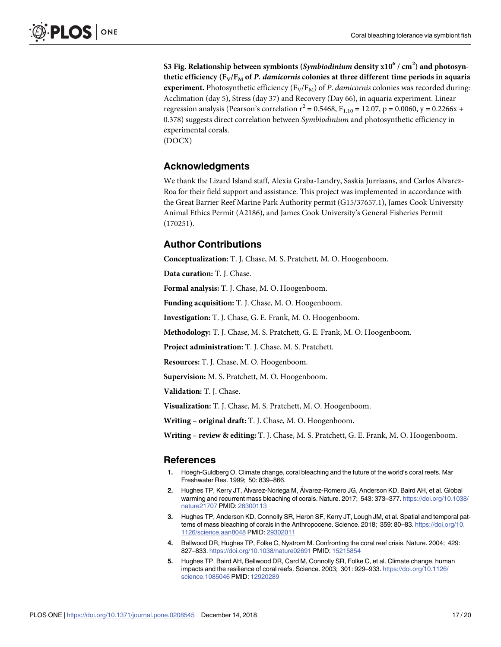<span id="page-16-0"></span>**S3 [Fig](http://www.plosone.org/article/fetchSingleRepresentation.action?uri=info:doi/10.1371/journal.pone.0208545.s014). Relationship between symbionts (***Symbiodinium* **density x106 / cm2 ) and photosynthetic** efficiency  $(F_V/F_M \text{ of } P$ . *damicornis* colonies at three different time periods in aquaria **experiment.** Photosynthetic efficiency  $(F_V/F_M)$  of *P. damicornis* colonies was recorded during: Acclimation (day 5), Stress (day 37) and Recovery (Day 66), in aquaria experiment. Linear regression analysis (Pearson's correlation  $r^2 = 0.5468$ ,  $F_{1,10} = 12.07$ ,  $p = 0.0060$ ,  $y = 0.2266x +$ 0.378) suggests direct correlation between *Symbiodinium* and photosynthetic efficiency in experimental corals. (DOCX)

# **Acknowledgments**

We thank the Lizard Island staff, Alexia Graba-Landry, Saskia Jurriaans, and Carlos Alvarez-Roa for their field support and assistance. This project was implemented in accordance with the Great Barrier Reef Marine Park Authority permit (G15/37657.1), James Cook University Animal Ethics Permit (A2186), and James Cook University's General Fisheries Permit (170251).

# **Author Contributions**

**Conceptualization:** T. J. Chase, M. S. Pratchett, M. O. Hoogenboom.

**Data curation:** T. J. Chase.

**Formal analysis:** T. J. Chase, M. O. Hoogenboom.

**Funding acquisition:** T. J. Chase, M. O. Hoogenboom.

**Investigation:** T. J. Chase, G. E. Frank, M. O. Hoogenboom.

**Methodology:** T. J. Chase, M. S. Pratchett, G. E. Frank, M. O. Hoogenboom.

**Project administration:** T. J. Chase, M. S. Pratchett.

**Resources:** T. J. Chase, M. O. Hoogenboom.

**Supervision:** M. S. Pratchett, M. O. Hoogenboom.

**Validation:** T. J. Chase.

**Visualization:** T. J. Chase, M. S. Pratchett, M. O. Hoogenboom.

**Writing – original draft:** T. J. Chase, M. O. Hoogenboom.

**Writing – review & editing:** T. J. Chase, M. S. Pratchett, G. E. Frank, M. O. Hoogenboom.

#### **References**

- **[1](#page-0-0).** Hoegh-Guldberg O. Climate change, coral bleaching and the future of the world's coral reefs. Mar Freshwater Res. 1999; 50: 839–866.
- **[2](#page-0-0).** Hughes TP, Kerry JT, Álvarez-Noriega M, Álvarez-Romero JG, Anderson KD, Baird AH, et al. Global warming and recurrent mass bleaching of corals. Nature. 2017; 543: 373–377. [https://doi.org/10.1038/](https://doi.org/10.1038/nature21707) [nature21707](https://doi.org/10.1038/nature21707) PMID: [28300113](http://www.ncbi.nlm.nih.gov/pubmed/28300113)
- **[3](#page-0-0).** Hughes TP, Anderson KD, Connolly SR, Heron SF, Kerry JT, Lough JM, et al. Spatial and temporal patterns of mass bleaching of corals in the Anthropocene. Science. 2018; 359: 80–83. [https://doi.org/10.](https://doi.org/10.1126/science.aan8048) [1126/science.aan8048](https://doi.org/10.1126/science.aan8048) PMID: [29302011](http://www.ncbi.nlm.nih.gov/pubmed/29302011)
- **4.** Bellwood DR, Hughes TP, Folke C, Nystrom M. Confronting the coral reef crisis. Nature. 2004; 429: 827–833. <https://doi.org/10.1038/nature02691> PMID: [15215854](http://www.ncbi.nlm.nih.gov/pubmed/15215854)
- **[5](#page-0-0).** Hughes TP, Baird AH, Bellwood DR, Card M, Connolly SR, Folke C, et al. Climate change, human impacts and the resilience of coral reefs. Science. 2003; 301: 929–933. [https://doi.org/10.1126/](https://doi.org/10.1126/science.1085046) [science.1085046](https://doi.org/10.1126/science.1085046) PMID: [12920289](http://www.ncbi.nlm.nih.gov/pubmed/12920289)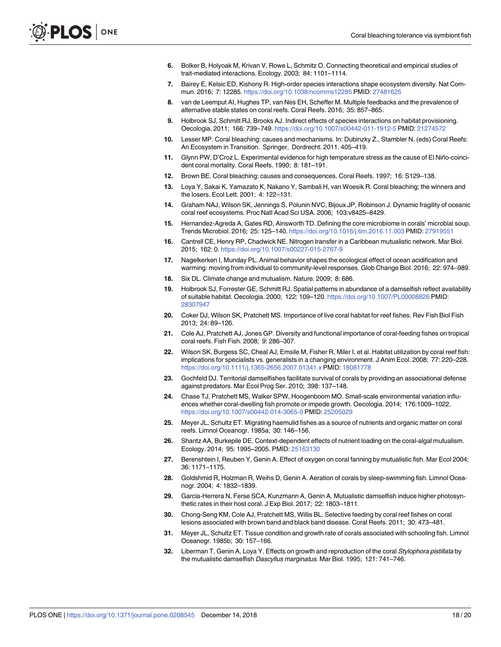- <span id="page-17-0"></span>**[6](#page-0-0).** Bolker B, Holyoak M, Krivan V, Rowe L, Schmitz O. Connecting theoretical and empirical studies of trait-mediated interactions. Ecology. 2003; 84: 1101–1114.
- **7.** Bairey E, Kelsic ED, Kishony R. High-order species interactions shape ecosystem diversity. Nat Commun. 2016; 7: 12285. <https://doi.org/10.1038/ncomms12285> PMID: [27481625](http://www.ncbi.nlm.nih.gov/pubmed/27481625)
- **[8](#page-0-0).** van de Leemput AI, Hughes TP, van Nes EH, Scheffer M. Multiple feedbacks and the prevalence of alternative stable states on coral reefs. Coral Reefs. 2016; 35: 857–865.
- **[9](#page-0-0).** Holbrook SJ, Schmitt RJ, Brooks AJ. Indirect effects of species interactions on habitat provisioning. Oecologia. 2011; 166: 739–749. <https://doi.org/10.1007/s00442-011-1912-5> PMID: [21274572](http://www.ncbi.nlm.nih.gov/pubmed/21274572)
- **[10](#page-1-0).** Lesser MP. Coral bleaching: causes and mechanisms. In: Dubinzky Z., Stambler N. (eds) Coral Reefs: An Ecosystem in Transition. Springer, Dordrecht. 2011. 405–419.
- **[11](#page-1-0).** Glynn PW, D'Croz L. Experimental evidence for high temperature stress as the cause of El Niño-coincident coral mortality. Coral Reefs. 1990; 8: 181–191.
- **12.** Brown BE. Coral bleaching: causes and consequences. Coral Reefs. 1997; 16: S129–138.
- **13.** Loya Y, Sakai K, Yamazato K, Nakano Y, Sambali H, van Woesik R. Coral bleaching; the winners and the losers. Ecol Lett. 2001; 4: 122–131.
- **[14](#page-1-0).** Graham NAJ, Wilson SK, Jennings S, Polunin NVC, Bijoux JP, Robinson J. Dynamic fragility of oceanic coral reef ecosystems. Proc Natl Acad Sci USA. 2006; 103:v8425–8429.
- **[15](#page-1-0).** Hernandez-Agreda A, Gates RD, Ainsworth TD. Defining the core microbiome in corals' microbial soup. Trends Microbiol. 2016; 25: 125–140. <https://doi.org/10.1016/j.tim.2016.11.003> PMID: [27919551](http://www.ncbi.nlm.nih.gov/pubmed/27919551)
- **[16](#page-1-0).** Cantrell CE, Henry RP, Chadwick NE. Nitrogen transfer in a Caribbean mutualistic network. Mar Biol. 2015; 162: 0. <https://doi.org/10.1007/s00227-015-2767-9>
- **[17](#page-1-0).** Nagelkerken I, Munday PL. Animal behavior shapes the ecological effect of ocean acidification and warming: moving from individual to community-level responses. Glob Change Biol. 2016; 22: 974–989.
- **[18](#page-1-0).** Six DL. Climate change and mutualism. Nature. 2009; 8: 686.
- **[19](#page-1-0).** Holbrook SJ, Forrester GE, Schmitt RJ. Spatial patterns in abundance of a damselfish reflect availability of suitable habitat. Oecologia. 2000; 122: 109–120. <https://doi.org/10.1007/PL00008826> PMID: [28307947](http://www.ncbi.nlm.nih.gov/pubmed/28307947)
- **[20](#page-1-0).** Coker DJ, Wilson SK, Pratchett MS. Importance of live coral habitat for reef fishes. Rev Fish Biol Fish 2013; 24: 89–126.
- **21.** Cole AJ, Pratchett AJ, Jones GP. Diversity and functional importance of coral-feeding fishes on tropical coral reefs. Fish Fish. 2008; 9: 286–307.
- **[22](#page-1-0).** Wilson SK, Burgess SC, Cheal AJ, Emsile M, Fisher R, Miler I, et al. Habitat utilization by coral reef fish: implications for specialists vs. generalists in a changing environment. J Anim Ecol. 2008; 77: 220–228. <https://doi.org/10.1111/j.1365-2656.2007.01341.x> PMID: [18081778](http://www.ncbi.nlm.nih.gov/pubmed/18081778)
- **[23](#page-1-0).** Gochfeld DJ. Territorial damselfishes facilitate survival of corals by providing an associational defense against predators. Mar Ecol Prog Ser. 2010; 398: 137–148.
- **[24](#page-1-0).** Chase TJ, Pratchett MS, Walker SPW, Hoogenboom MO. Small-scale environmental variation influences whether coral-dwelling fish promote or impede growth. Oecologia. 2014; 176:1009–1022. <https://doi.org/10.1007/s00442-014-3065-9> PMID: [25205029](http://www.ncbi.nlm.nih.gov/pubmed/25205029)
- **[25](#page-13-0).** Meyer JL, Schultz ET. Migrating haemulid fishes as a source of nutrients and organic matter on coral reefs. Limnol Oceanogr. 1985a; 30: 146–156.
- **[26](#page-1-0).** Shantz AA, Burkepile DE. Context-dependent effects of nutrient loading on the coral-algal mutualism. Ecology. 2014; 95: 1995–2005. PMID: [25163130](http://www.ncbi.nlm.nih.gov/pubmed/25163130)
- **[27](#page-1-0).** Berenshtein I, Reuben Y, Genin A. Effect of oxygen on coral fanning by mutualistic fish. Mar Ecol 2004; 36: 1171–1175.
- **[28](#page-1-0).** Goldshmid R, Holzman R, Weihs D, Genin A. Aeration of corals by sleep-swimming fish. Limnol Oceanogr. 2004; 4: 1832–1839.
- **[29](#page-1-0).** Garcia-Herrera N, Ferse SCA, Kunzmann A, Genin A. Mutualistic damselfish induce higher photosynthetic rates in their host coral. J Exp Biol. 2017; 22: 1803–1811.
- **[30](#page-1-0).** Chong-Seng KM, Cole AJ, Pratchett MS, Willis BL. Selective feeding by coral reef fishes on coral lesions associated with brown band and black band disease. Coral Reefs. 2011; 30: 473–481.
- **[31](#page-1-0).** Meyer JL, Schultz ET. Tissue condition and growth rate of corals associated with schooling fish. Limnol Oceanogr. 1985b; 30: 157–166.
- **32.** Liberman T, Genin A, Loya Y. Effects on growth and reproduction of the coral Stylophora pistillata by the mutualistic damselfish Dascyllus marginatus. Mar Biol. 1995; 121: 741–746.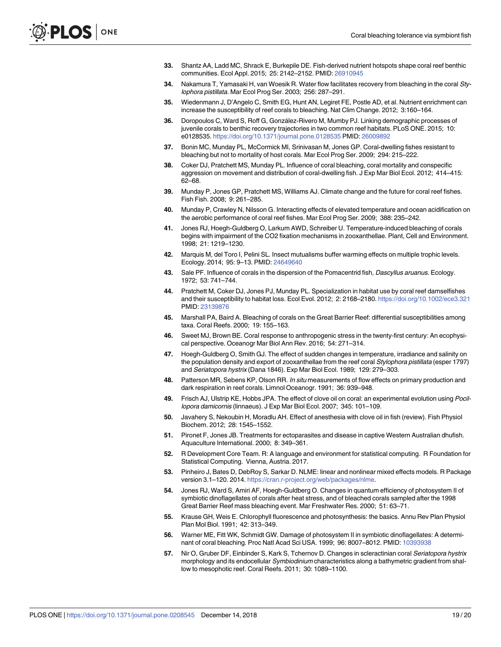- <span id="page-18-0"></span>**[33](#page-1-0).** Shantz AA, Ladd MC, Shrack E, Burkepile DE. Fish-derived nutrient hotspots shape coral reef benthic communities. Ecol Appl. 2015; 25: 2142–2152. PMID: [26910945](http://www.ncbi.nlm.nih.gov/pubmed/26910945)
- **[34](#page-1-0).** Nakamura T, Yamasaki H, van Woesik R. Water flow facilitates recovery from bleaching in the coral Stylophora pistillata. Mar Ecol Prog Ser. 2003; 256: 287–291.
- **[35](#page-1-0).** Wiedenmann J, D'Angelo C, Smith EG, Hunt AN, Legiret FE, Postle AD, et al. Nutrient enrichment can increase the susceptibility of reef corals to bleaching. Nat Clim Change. 2012; 3:160–164.
- **[36](#page-1-0).** Doropoulos C, Ward S, Roff G, González-Rivero M, Mumby PJ. Linking demographic processes of juvenile corals to benthic recovery trajectories in two common reef habitats. PLoS ONE. 2015; 10: e0128535. <https://doi.org/10.1371/journal.pone.0128535> PMID: [26009892](http://www.ncbi.nlm.nih.gov/pubmed/26009892)
- **[37](#page-1-0).** Bonin MC, Munday PL, McCormick MI, Srinivasan M, Jones GP. Coral-dwelling fishes resistant to bleaching but not to mortality of host corals. Mar Ecol Prog Ser. 2009; 294: 215–222.
- **[38](#page-1-0).** Coker DJ, Pratchett MS, Munday PL. Influence of coral bleaching, coral mortality and conspecific aggression on movement and distribution of coral-dwelling fish. J Exp Mar Biol Ecol. 2012; 414–415: 62–68.
- **[39](#page-1-0).** Munday P, Jones GP, Pratchett MS, Williams AJ. Climate change and the future for coral reef fishes. Fish Fish. 2008; 9: 261–285.
- **[40](#page-1-0).** Munday P, Crawley N, Nilsson G. Interacting effects of elevated temperature and ocean acidification on the aerobic performance of coral reef fishes. Mar Ecol Prog Ser. 2009; 388: 235–242.
- **[41](#page-1-0).** Jones RJ, Hoegh-Guldberg O, Larkum AWD, Schreiber U. Temperature-induced bleaching of corals begins with impairment of the CO2 fixation mechanisms in zooxanthellae. Plant, Cell and Environment. 1998; 21: 1219–1230.
- **[42](#page-1-0).** Marquis M, del Toro I, Pelini SL. Insect mutualisms buffer warming effects on multiple trophic levels. Ecology. 2014; 95: 9–13. PMID: [24649640](http://www.ncbi.nlm.nih.gov/pubmed/24649640)
- **[43](#page-2-0).** Sale PF. Influence of corals in the dispersion of the Pomacentrid fish, Dascyllus aruanus. Ecology. 1972; 53: 741–744.
- **[44](#page-2-0).** Pratchett M, Coker DJ, Jones PJ, Munday PL. Specialization in habitat use by coral reef damselfishes and their susceptibility to habitat loss. Ecol Evol. 2012; 2: 2168–2180. <https://doi.org/10.1002/ece3.321> PMID: [23139876](http://www.ncbi.nlm.nih.gov/pubmed/23139876)
- **45.** Marshall PA, Baird A. Bleaching of corals on the Great Barrier Reef: differential susceptibilities among taxa. Coral Reefs. 2000; 19: 155–163.
- **[46](#page-2-0).** Sweet MJ, Brown BE. Coral response to anthropogenic stress in the twenty-first century: An ecophysical perspective. Oceanogr Mar Biol Ann Rev. 2016; 54: 271–314.
- **[47](#page-2-0).** Hoegh-Guldberg O, Smith GJ. The effect of sudden changes in temperature, irradiance and salinity on the population density and export of zooxanthellae from the reef coral Stylophora pistillata (esper 1797) and Seriatopora hystrix (Dana 1846). Exp Mar Biol Ecol. 1989; 129: 279–303.
- **[48](#page-4-0).** Patterson MR, Sebens KP, Olson RR. In situ measurements of flow effects on primary production and dark respiration in reef corals. Limnol Oceanogr. 1991; 36: 939–948.
- **[49](#page-4-0).** Frisch AJ, Ulstrip KE, Hobbs JPA. The effect of clove oil on coral: an experimental evolution using Pocillopora damicornis (linnaeus). J Exp Mar Biol Ecol. 2007; 345: 101–109.
- **[50](#page-4-0).** Javahery S, Nekoubin H, Moradlu AH. Effect of anesthesia with clove oil in fish (review). Fish Physiol Biochem. 2012; 28: 1545–1552.
- **[51](#page-4-0).** Pironet F, Jones JB. Treatments for ectoparasites and disease in captive Western Australian dhufish. Aquaculture International. 2000; 8: 349–361.
- **[52](#page-4-0).** R Development Core Team. R: A language and environment for statistical computing. R Foundation for Statistical Computing. Vienna, Austria. 2017.
- **[53](#page-4-0).** Pinheiro J, Bates D, DebRoy S, Sarkar D. NLME: linear and nonlinear mixed effects models. R Package version 3.1–120. 2014. [https://cran.r-project.org/web/packages/nlme.](https://cran.r-project.org/web/packages/nlme)
- **[54](#page-13-0).** Jones RJ, Ward S, Amiri AF, Hoegh-Guldberg O. Changes in quantum efficiency of photosystem II of symbiotic dinoflagellates of corals after heat stress, and of bleached corals sampled after the 1998 Great Barrier Reef mass bleaching event. Mar Freshwater Res. 2000; 51: 63–71.
- **55.** Krause GH, Weis E. Chlorophyll fluorescence and photosynthesis: the basics. Annu Rev Plan Physiol Plan Mol Biol. 1991; 42: 313–349.
- **56.** Warner ME, Fitt WK, Schmidt GW. Damage of photosystem II in symbiotic dinoflagellates: A determinant of coral bleaching. Proc Natl Acad Sci USA. 1999; 96: 8007–8012. PMID: [10393938](http://www.ncbi.nlm.nih.gov/pubmed/10393938)
- **[57](#page-5-0).** Nir O, Gruber DF, Einbinder S, Kark S, Tchernov D. Changes in scleractinian coral Seriatopora hystrix morphology and its endocellular Symbiodinium characteristics along a bathymetric gradient from shallow to mesophotic reef. Coral Reefs. 2011; 30: 1089–1100.